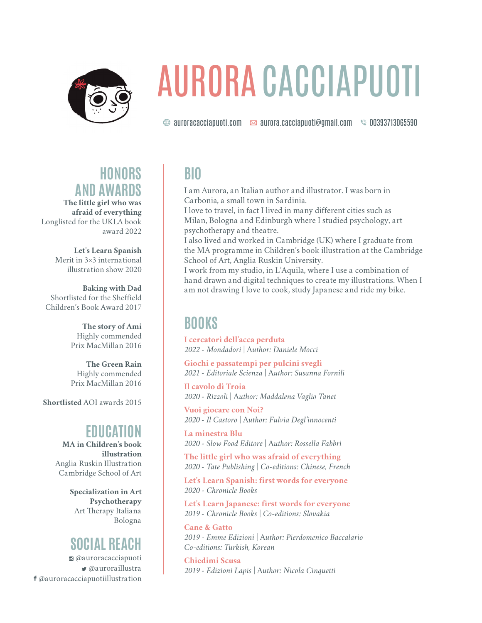

# AURORA CACCIAPUOTI

 $\circledR$  auroracacciapuoti.com  $\sim$  aurora.cacciapuoti@gmail.com  $\sim$  00393713065590

## **HONORS AND AWARDS**

**The little girl who was afraid of everything** Longlisted for the UKLA book award 2022

> **Let's Learn Spanish** Merit in 3×3 international illustration show 2020

**Baking with Dad** Shortlisted for the Sheffield Children's Book Award 2017

> **The story of Ami** Highly commended Prix MacMillan 2016

> **The Green Rain** Highly commended Prix MacMillan 2016

**Shortlisted** AOI awards 2015

## **EDUCATION**

**MA in Children's book illustration** Anglia Ruskin Illustration Cambridge School of Art

> **Specialization in Art Psychotherapy**  Art Therapy Italiana Bologna

# **SOCIAL REACH**

I @auroracacciapuoti  $\bullet$  @auroraillustra F @auroracacciapuotiillustration

# **BIO**

I am Aurora, an Italian author and illustrator. I was born in Carbonia, a small town in Sardinia.

I love to travel, in fact I lived in many different cities such as Milan, Bologna and Edinburgh where I studied psychology, art psychotherapy and theatre.

I also lived and worked in Cambridge (UK) where I graduate from the MA programme in Children's book illustration at the Cambridge School of Art, Anglia Ruskin University.

I work from my studio, in L'Aquila, where I use a combination of hand drawn and digital techniques to create my illustrations. When I am not drawing I love to cook, study Japanese and ride my bike.

## **BOOKS**

**I cercatori dell'acca perduta** *2022 - Mondadori* | A*uthor: Daniele Mocci*

**Giochi e passatempi per pulcini svegli** *2021 - Editoriale Scienza* | A*uthor: Susanna Fornili*

**Il cavolo di Troia** *2020 - Rizzoli* | A*uthor: Maddalena Vaglio Tanet*

**Vuoi giocare con Noi?** *2020 - Il Castoro* | A*uthor: Fulvia Degl'innocenti*

**La minestra Blu** *2020 - Slow Food Editore* | A*uthor: Rossella Fabbri*

**The little girl who was afraid of everything** *2020 - Tate Publishing* | *Co-editions: Chinese, French*

**Let's Learn Spanish: first words for everyone** *2020 - Chronicle Books*

**Let's Learn Japanese: first words for everyone** *2019 - Chronicle Books* | *Co-editions: Slovakia*

**Cane & Gatto** *2019 - Emme Edizioni* | A*uthor: Pierdomenico Baccalario Co-editions: Turkish, Korean*

**Chiedimi Scusa** *2019 - Edizioni Lapis* | A*uthor: Nicola Cinquetti*